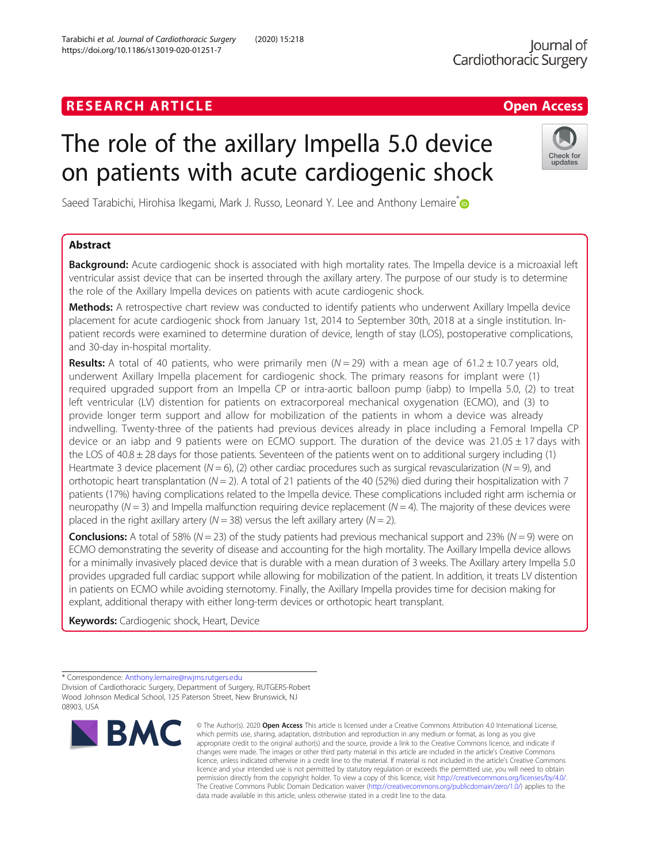## **RESEARCH ARTICLE Example 2018 12:30 The Contract of Contract ACCESS**

# The role of the axillary Impella 5.0 device on patients with acute cardiogenic shock

Saeed Tarabichi, Hirohisa Ikegami, Mark J. Russo, Leonard Y. Lee and Anthony Lemaire<sup>[\\*](http://orcid.org/0000-0002-8936-9853)</sup>

## Abstract

Background: Acute cardiogenic shock is associated with high mortality rates. The Impella device is a microaxial left ventricular assist device that can be inserted through the axillary artery. The purpose of our study is to determine the role of the Axillary Impella devices on patients with acute cardiogenic shock.

Methods: A retrospective chart review was conducted to identify patients who underwent Axillary Impella device placement for acute cardiogenic shock from January 1st, 2014 to September 30th, 2018 at a single institution. Inpatient records were examined to determine duration of device, length of stay (LOS), postoperative complications, and 30-day in-hospital mortality.

**Results:** A total of 40 patients, who were primarily men ( $N = 29$ ) with a mean age of 61.2 ± 10.7 years old, underwent Axillary Impella placement for cardiogenic shock. The primary reasons for implant were (1) required upgraded support from an Impella CP or intra-aortic balloon pump (iabp) to Impella 5.0, (2) to treat left ventricular (LV) distention for patients on extracorporeal mechanical oxygenation (ECMO), and (3) to provide longer term support and allow for mobilization of the patients in whom a device was already indwelling. Twenty-three of the patients had previous devices already in place including a Femoral Impella CP device or an iabp and 9 patients were on ECMO support. The duration of the device was  $21.05 \pm 17$  days with the LOS of  $40.8 \pm 28$  days for those patients. Seventeen of the patients went on to additional surgery including (1) Heartmate 3 device placement ( $N = 6$ ), (2) other cardiac procedures such as surgical revascularization ( $N = 9$ ), and orthotopic heart transplantation ( $N = 2$ ). A total of 21 patients of the 40 (52%) died during their hospitalization with 7 patients (17%) having complications related to the Impella device. These complications included right arm ischemia or neuropathy ( $N = 3$ ) and Impella malfunction requiring device replacement ( $N = 4$ ). The majority of these devices were placed in the right axillary artery ( $N = 38$ ) versus the left axillary artery ( $N = 2$ ).

**Conclusions:** A total of 58% ( $N = 23$ ) of the study patients had previous mechanical support and 23% ( $N = 9$ ) were on ECMO demonstrating the severity of disease and accounting for the high mortality. The Axillary Impella device allows for a minimally invasively placed device that is durable with a mean duration of 3 weeks. The Axillary artery Impella 5.0 provides upgraded full cardiac support while allowing for mobilization of the patient. In addition, it treats LV distention in patients on ECMO while avoiding sternotomy. Finally, the Axillary Impella provides time for decision making for explant, additional therapy with either long-term devices or orthotopic heart transplant.

**Keywords:** Cardiogenic shock, Heart, Device



<sup>©</sup> The Author(s), 2020 **Open Access** This article is licensed under a Creative Commons Attribution 4.0 International License, which permits use, sharing, adaptation, distribution and reproduction in any medium or format, as long as you give appropriate credit to the original author(s) and the source, provide a link to the Creative Commons licence, and indicate if changes were made. The images or other third party material in this article are included in the article's Creative Commons licence, unless indicated otherwise in a credit line to the material. If material is not included in the article's Creative Commons licence and your intended use is not permitted by statutory regulation or exceeds the permitted use, you will need to obtain permission directly from the copyright holder. To view a copy of this licence, visit [http://creativecommons.org/licenses/by/4.0/.](http://creativecommons.org/licenses/by/4.0/) The Creative Commons Public Domain Dedication waiver [\(http://creativecommons.org/publicdomain/zero/1.0/](http://creativecommons.org/publicdomain/zero/1.0/)) applies to the data made available in this article, unless otherwise stated in a credit line to the data.



<sup>\*</sup> Correspondence: [Anthony.lemaire@rwjms.rutgers.edu](mailto:Anthony.lemaire@rwjms.rutgers.edu) Division of Cardiothoracic Surgery, Department of Surgery, RUTGERS-Robert Wood Johnson Medical School, 125 Paterson Street, New Brunswick, NJ 08903, USA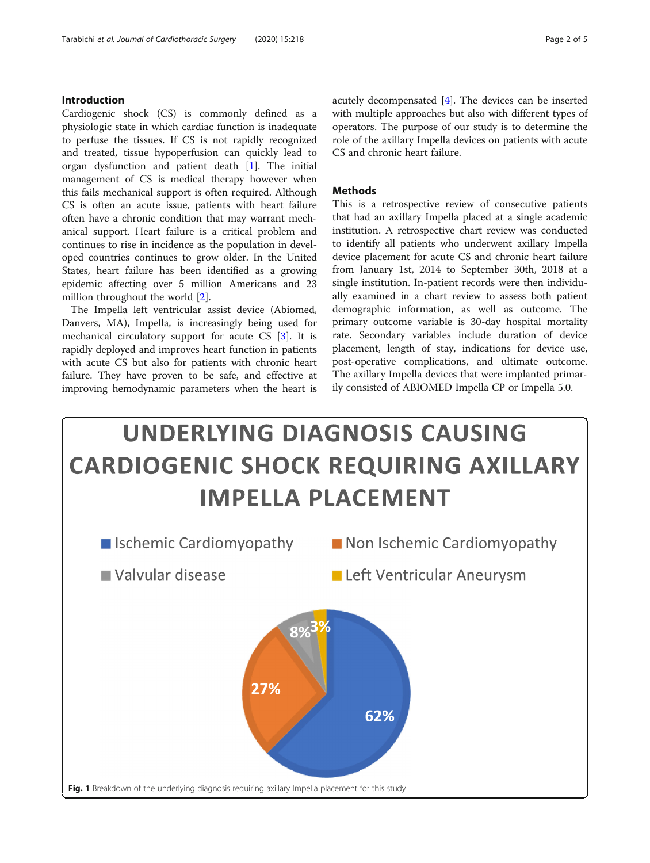## <span id="page-1-0"></span>Introduction

Cardiogenic shock (CS) is commonly defined as a physiologic state in which cardiac function is inadequate to perfuse the tissues. If CS is not rapidly recognized and treated, tissue hypoperfusion can quickly lead to organ dysfunction and patient death [\[1](#page-3-0)]. The initial management of CS is medical therapy however when this fails mechanical support is often required. Although CS is often an acute issue, patients with heart failure often have a chronic condition that may warrant mechanical support. Heart failure is a critical problem and continues to rise in incidence as the population in developed countries continues to grow older. In the United States, heart failure has been identified as a growing epidemic affecting over 5 million Americans and 23 million throughout the world [\[2\]](#page-3-0).

The Impella left ventricular assist device (Abiomed, Danvers, MA), Impella, is increasingly being used for mechanical circulatory support for acute CS [\[3](#page-4-0)]. It is rapidly deployed and improves heart function in patients with acute CS but also for patients with chronic heart failure. They have proven to be safe, and effective at improving hemodynamic parameters when the heart is

acutely decompensated [\[4](#page-4-0)]. The devices can be inserted with multiple approaches but also with different types of operators. The purpose of our study is to determine the role of the axillary Impella devices on patients with acute CS and chronic heart failure.

## **Methods**

This is a retrospective review of consecutive patients that had an axillary Impella placed at a single academic institution. A retrospective chart review was conducted to identify all patients who underwent axillary Impella device placement for acute CS and chronic heart failure from January 1st, 2014 to September 30th, 2018 at a single institution. In-patient records were then individually examined in a chart review to assess both patient demographic information, as well as outcome. The primary outcome variable is 30-day hospital mortality rate. Secondary variables include duration of device placement, length of stay, indications for device use, post-operative complications, and ultimate outcome. The axillary Impella devices that were implanted primarily consisted of ABIOMED Impella CP or Impella 5.0.

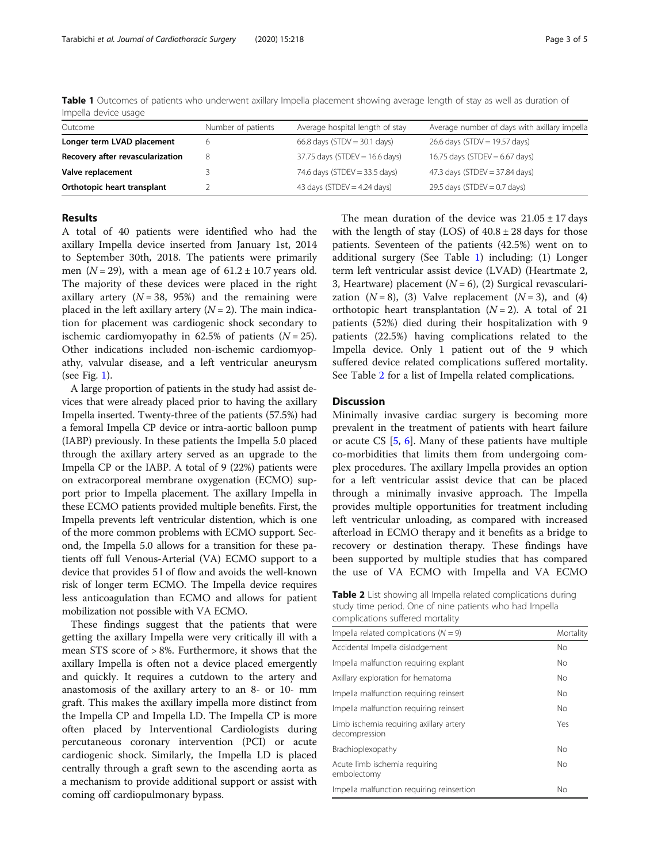<span id="page-2-0"></span>Table 1 Outcomes of patients who underwent axillary Impella placement showing average length of stay as well as duration of Impella device usage

| Outcome                          | Number of patients | Average hospital length of stay  | Average number of days with axillary impella |
|----------------------------------|--------------------|----------------------------------|----------------------------------------------|
| Longer term LVAD placement       |                    | 66.8 days (STDV = $30.1$ days)   | 26.6 days (STDV = 19.57 days)                |
| Recovery after revascularization | 8                  | $37.75$ days (STDEV = 16.6 days) | 16.75 days (STDEV = $6.67$ days)             |
| Valve replacement                |                    | 74.6 days (STDEV = $33.5$ days)  | 47.3 days (STDEV = 37.84 days)               |
| Orthotopic heart transplant      |                    | 43 days (STDEV = $4.24$ days)    | 29.5 days (STDEV = $0.7$ days)               |

## Results

A total of 40 patients were identified who had the axillary Impella device inserted from January 1st, 2014 to September 30th, 2018. The patients were primarily men ( $N = 29$ ), with a mean age of  $61.2 \pm 10.7$  years old. The majority of these devices were placed in the right axillary artery  $(N = 38, 95%)$  and the remaining were placed in the left axillary artery  $(N = 2)$ . The main indication for placement was cardiogenic shock secondary to ischemic cardiomyopathy in 62.5% of patients  $(N = 25)$ . Other indications included non-ischemic cardiomyopathy, valvular disease, and a left ventricular aneurysm (see Fig. [1\)](#page-1-0).

A large proportion of patients in the study had assist devices that were already placed prior to having the axillary Impella inserted. Twenty-three of the patients (57.5%) had a femoral Impella CP device or intra-aortic balloon pump (IABP) previously. In these patients the Impella 5.0 placed through the axillary artery served as an upgrade to the Impella CP or the IABP. A total of 9 (22%) patients were on extracorporeal membrane oxygenation (ECMO) support prior to Impella placement. The axillary Impella in these ECMO patients provided multiple benefits. First, the Impella prevents left ventricular distention, which is one of the more common problems with ECMO support. Second, the Impella 5.0 allows for a transition for these patients off full Venous-Arterial (VA) ECMO support to a device that provides 5 l of flow and avoids the well-known risk of longer term ECMO. The Impella device requires less anticoagulation than ECMO and allows for patient mobilization not possible with VA ECMO.

These findings suggest that the patients that were getting the axillary Impella were very critically ill with a mean STS score of > 8%. Furthermore, it shows that the axillary Impella is often not a device placed emergently and quickly. It requires a cutdown to the artery and anastomosis of the axillary artery to an 8- or 10- mm graft. This makes the axillary impella more distinct from the Impella CP and Impella LD. The Impella CP is more often placed by Interventional Cardiologists during percutaneous coronary intervention (PCI) or acute cardiogenic shock. Similarly, the Impella LD is placed centrally through a graft sewn to the ascending aorta as a mechanism to provide additional support or assist with coming off cardiopulmonary bypass.

The mean duration of the device was  $21.05 \pm 17$  days with the length of stay (LOS) of  $40.8 \pm 28$  days for those patients. Seventeen of the patients (42.5%) went on to additional surgery (See Table 1) including: (1) Longer term left ventricular assist device (LVAD) (Heartmate 2, 3, Heartware) placement  $(N = 6)$ , (2) Surgical revascularization  $(N = 8)$ , (3) Valve replacement  $(N = 3)$ , and (4) orthotopic heart transplantation  $(N = 2)$ . A total of 21 patients (52%) died during their hospitalization with 9 patients (22.5%) having complications related to the Impella device. Only 1 patient out of the 9 which suffered device related complications suffered mortality. See Table 2 for a list of Impella related complications.

## **Discussion**

Minimally invasive cardiac surgery is becoming more prevalent in the treatment of patients with heart failure or acute CS [\[5](#page-4-0), [6\]](#page-4-0). Many of these patients have multiple co-morbidities that limits them from undergoing complex procedures. The axillary Impella provides an option for a left ventricular assist device that can be placed through a minimally invasive approach. The Impella provides multiple opportunities for treatment including left ventricular unloading, as compared with increased afterload in ECMO therapy and it benefits as a bridge to recovery or destination therapy. These findings have been supported by multiple studies that has compared the use of VA ECMO with Impella and VA ECMO

Table 2 List showing all Impella related complications during study time period. One of nine patients who had Impella complications suffered mortality

| Impella related complications ( $N = 9$ )                | Mortality |  |
|----------------------------------------------------------|-----------|--|
| Accidental Impella dislodgement                          |           |  |
| Impella malfunction requiring explant                    | <b>No</b> |  |
| Axillary exploration for hematoma                        |           |  |
| Impella malfunction requiring reinsert                   | <b>No</b> |  |
| Impella malfunction requiring reinsert                   | No        |  |
| Limb ischemia requiring axillary artery<br>decompression | Yes       |  |
| Brachioplexopathy                                        | No        |  |
| Acute limb ischemia requiring<br>embolectomy             |           |  |
| Impella malfunction requiring reinsertion                | Νo        |  |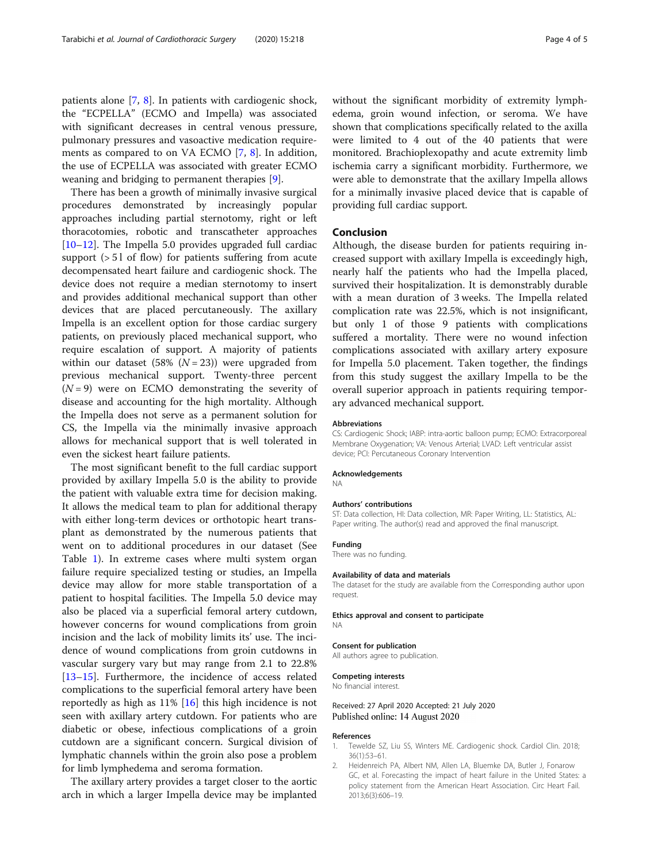<span id="page-3-0"></span>patients alone [[7,](#page-4-0) [8](#page-4-0)]. In patients with cardiogenic shock, the "ECPELLA" (ECMO and Impella) was associated with significant decreases in central venous pressure, pulmonary pressures and vasoactive medication requirements as compared to on VA ECMO [[7,](#page-4-0) [8](#page-4-0)]. In addition, the use of ECPELLA was associated with greater ECMO weaning and bridging to permanent therapies [[9\]](#page-4-0).

There has been a growth of minimally invasive surgical procedures demonstrated by increasingly popular approaches including partial sternotomy, right or left thoracotomies, robotic and transcatheter approaches [[10](#page-4-0)–[12](#page-4-0)]. The Impella 5.0 provides upgraded full cardiac support (> 5 l of flow) for patients suffering from acute decompensated heart failure and cardiogenic shock. The device does not require a median sternotomy to insert and provides additional mechanical support than other devices that are placed percutaneously. The axillary Impella is an excellent option for those cardiac surgery patients, on previously placed mechanical support, who require escalation of support. A majority of patients within our dataset (58%  $(N = 23)$ ) were upgraded from previous mechanical support. Twenty-three percent  $(N = 9)$  were on ECMO demonstrating the severity of disease and accounting for the high mortality. Although the Impella does not serve as a permanent solution for CS, the Impella via the minimally invasive approach allows for mechanical support that is well tolerated in even the sickest heart failure patients.

The most significant benefit to the full cardiac support provided by axillary Impella 5.0 is the ability to provide the patient with valuable extra time for decision making. It allows the medical team to plan for additional therapy with either long-term devices or orthotopic heart transplant as demonstrated by the numerous patients that went on to additional procedures in our dataset (See Table [1\)](#page-2-0). In extreme cases where multi system organ failure require specialized testing or studies, an Impella device may allow for more stable transportation of a patient to hospital facilities. The Impella 5.0 device may also be placed via a superficial femoral artery cutdown, however concerns for wound complications from groin incision and the lack of mobility limits its' use. The incidence of wound complications from groin cutdowns in vascular surgery vary but may range from 2.1 to 22.8% [[13](#page-4-0)–[15](#page-4-0)]. Furthermore, the incidence of access related complications to the superficial femoral artery have been reportedly as high as 11% [\[16](#page-4-0)] this high incidence is not seen with axillary artery cutdown. For patients who are diabetic or obese, infectious complications of a groin cutdown are a significant concern. Surgical division of lymphatic channels within the groin also pose a problem for limb lymphedema and seroma formation.

The axillary artery provides a target closer to the aortic arch in which a larger Impella device may be implanted without the significant morbidity of extremity lymphedema, groin wound infection, or seroma. We have shown that complications specifically related to the axilla were limited to 4 out of the 40 patients that were monitored. Brachioplexopathy and acute extremity limb ischemia carry a significant morbidity. Furthermore, we were able to demonstrate that the axillary Impella allows for a minimally invasive placed device that is capable of providing full cardiac support.

## Conclusion

Although, the disease burden for patients requiring increased support with axillary Impella is exceedingly high, nearly half the patients who had the Impella placed, survived their hospitalization. It is demonstrably durable with a mean duration of 3 weeks. The Impella related complication rate was 22.5%, which is not insignificant, but only 1 of those 9 patients with complications suffered a mortality. There were no wound infection complications associated with axillary artery exposure for Impella 5.0 placement. Taken together, the findings from this study suggest the axillary Impella to be the overall superior approach in patients requiring temporary advanced mechanical support.

#### Abbreviations

CS: Cardiogenic Shock; IABP: intra-aortic balloon pump; ECMO: Extracorporeal Membrane Oxygenation; VA: Venous Arterial; LVAD: Left ventricular assist device; PCI: Percutaneous Coronary Intervention

## Acknowledgements

NA

#### Authors' contributions

ST: Data collection, HI: Data collection, MR: Paper Writing, LL: Statistics, AL: Paper writing. The author(s) read and approved the final manuscript.

#### Funding

There was no funding.

#### Availability of data and materials

The dataset for the study are available from the Corresponding author upon request.

#### Ethics approval and consent to participate NA

## Consent for publication

All authors agree to publication.

#### Competing interests

No financial interest.

#### Received: 27 April 2020 Accepted: 21 July 2020 Published online: 14 August 2020

## References

- 1. Tewelde SZ, Liu SS, Winters ME. Cardiogenic shock. Cardiol Clin. 2018; 36(1):53–61.
- 2. Heidenreich PA, Albert NM, Allen LA, Bluemke DA, Butler J, Fonarow GC, et al. Forecasting the impact of heart failure in the United States: a policy statement from the American Heart Association. Circ Heart Fail. 2013;6(3):606–19.